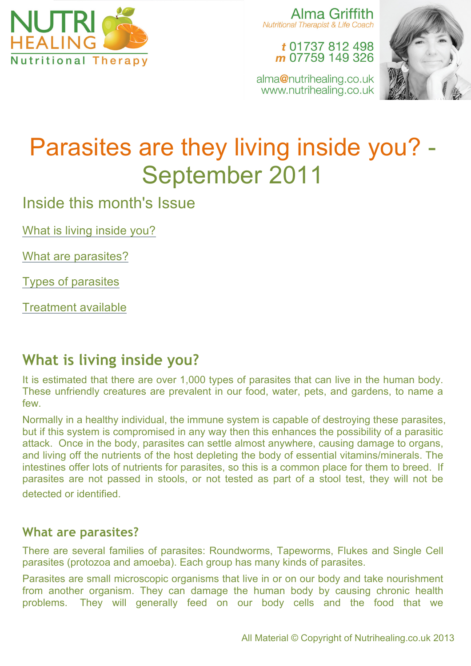

Alma Griffith Nutritional Therapist & Life Coach

> t 01737 812 498 m 07759 149 326

alma@nutrihealing.co.uk www.nutrihealing.co.uk



# Parasites are they living inside you? - September 2011

Inside this month's Issue

What is living inside you?

What are parasites?

Types of parasites

Treatment available

## **What is living inside you?**

It is estimated that there are over 1,000 types of parasites that can live in the human body. These unfriendly creatures are prevalent in our food, water, pets, and gardens, to name a few.

Normally in a healthy individual, the immune system is capable of destroying these parasites, but if this system is compromised in any way then this enhances the possibility of a parasitic attack. Once in the body, parasites can settle almost anywhere, causing damage to organs, and living off the nutrients of the host depleting the body of essential vitamins/minerals. The intestines offer lots of nutrients for parasites, so this is a common place for them to breed. If parasites are not passed in stools, or not tested as part of a stool test, they will not be detected or identified.

#### **What are parasites?**

There are several families of parasites: Roundworms, Tapeworms, Flukes and Single Cell parasites (protozoa and amoeba). Each group has many kinds of parasites.

Parasites are small microscopic organisms that live in or on our body and take nourishment from another organism. They can damage the human body by causing chronic health problems. They will generally feed on our body cells and the food that we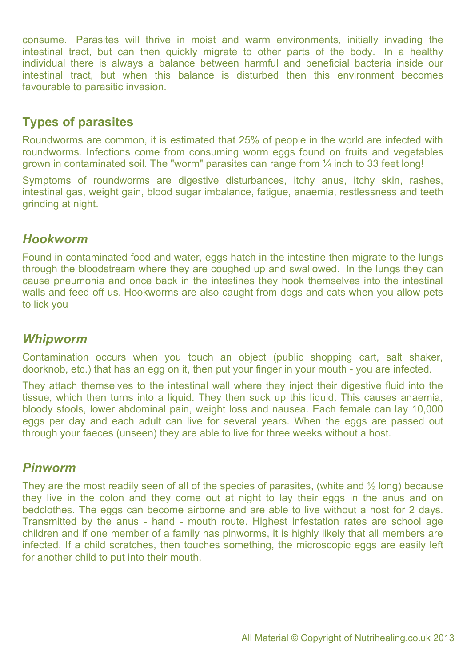consume. Parasites will thrive in moist and warm environments, initially invading the intestinal tract, but can then quickly migrate to other parts of the body. In a healthy individual there is always a balance between harmful and beneficial bacteria inside our intestinal tract, but when this balance is disturbed then this environment becomes favourable to parasitic invasion.

### **Types of parasites**

Roundworms are common, it is estimated that 25% of people in the world are infected with roundworms. Infections come from consuming worm eggs found on fruits and vegetables grown in contaminated soil. The "worm" parasites can range from ¼ inch to 33 feet long!

Symptoms of roundworms are digestive disturbances, itchy anus, itchy skin, rashes, intestinal gas, weight gain, blood sugar imbalance, fatigue, anaemia, restlessness and teeth grinding at night.

#### *Hookworm*

Found in contaminated food and water, eggs hatch in the intestine then migrate to the lungs through the bloodstream where they are coughed up and swallowed. In the lungs they can cause pneumonia and once back in the intestines they hook themselves into the intestinal walls and feed off us. Hookworms are also caught from dogs and cats when you allow pets to lick you

#### *Whipworm*

Contamination occurs when you touch an object (public shopping cart, salt shaker, doorknob, etc.) that has an egg on it, then put your finger in your mouth - you are infected.

They attach themselves to the intestinal wall where they inject their digestive fluid into the tissue, which then turns into a liquid. They then suck up this liquid. This causes anaemia, bloody stools, lower abdominal pain, weight loss and nausea. Each female can lay 10,000 eggs per day and each adult can live for several years. When the eggs are passed out through your faeces (unseen) they are able to live for three weeks without a host.

#### *Pinworm*

They are the most readily seen of all of the species of parasites, (white and  $\frac{1}{2}$  long) because they live in the colon and they come out at night to lay their eggs in the anus and on bedclothes. The eggs can become airborne and are able to live without a host for 2 days. Transmitted by the anus - hand - mouth route. Highest infestation rates are school age children and if one member of a family has pinworms, it is highly likely that all members are infected. If a child scratches, then touches something, the microscopic eggs are easily left for another child to put into their mouth.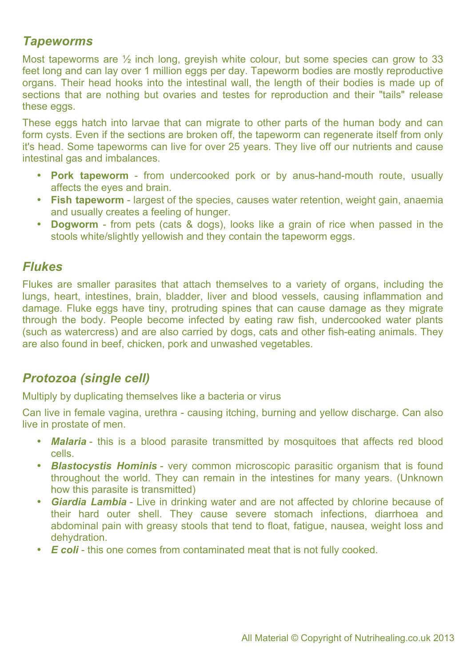#### *Tapeworms*

Most tapeworms are  $\frac{1}{2}$  inch long, greyish white colour, but some species can grow to 33 feet long and can lay over 1 million eggs per day. Tapeworm bodies are mostly reproductive organs. Their head hooks into the intestinal wall, the length of their bodies is made up of sections that are nothing but ovaries and testes for reproduction and their "tails" release these eggs.

These eggs hatch into larvae that can migrate to other parts of the human body and can form cysts. Even if the sections are broken off, the tapeworm can regenerate itself from only it's head. Some tapeworms can live for over 25 years. They live off our nutrients and cause intestinal gas and imbalances.

- **Pork tapeworm** from undercooked pork or by anus-hand-mouth route, usually affects the eyes and brain.
- **Fish tapeworm** largest of the species, causes water retention, weight gain, anaemia and usually creates a feeling of hunger.
- **Dogworm** from pets (cats & dogs), looks like a grain of rice when passed in the stools white/slightly yellowish and they contain the tapeworm eggs.

#### *Flukes*

Flukes are smaller parasites that attach themselves to a variety of organs, including the lungs, heart, intestines, brain, bladder, liver and blood vessels, causing inflammation and damage. Fluke eggs have tiny, protruding spines that can cause damage as they migrate through the body. People become infected by eating raw fish, undercooked water plants (such as watercress) and are also carried by dogs, cats and other fish-eating animals. They are also found in beef, chicken, pork and unwashed vegetables.

#### *Protozoa (single cell)*

Multiply by duplicating themselves like a bacteria or virus

Can live in female vagina, urethra - causing itching, burning and yellow discharge. Can also live in prostate of men.

- **Malaria** this is a blood parasite transmitted by mosquitoes that affects red blood cells.
- *Blastocystis Hominis* very common microscopic parasitic organism that is found throughout the world. They can remain in the intestines for many years. (Unknown how this parasite is transmitted)
- *Giardia Lambia* Live in drinking water and are not affected by chlorine because of their hard outer shell. They cause severe stomach infections, diarrhoea and abdominal pain with greasy stools that tend to float, fatigue, nausea, weight loss and dehydration.
- *E coli* this one comes from contaminated meat that is not fully cooked.